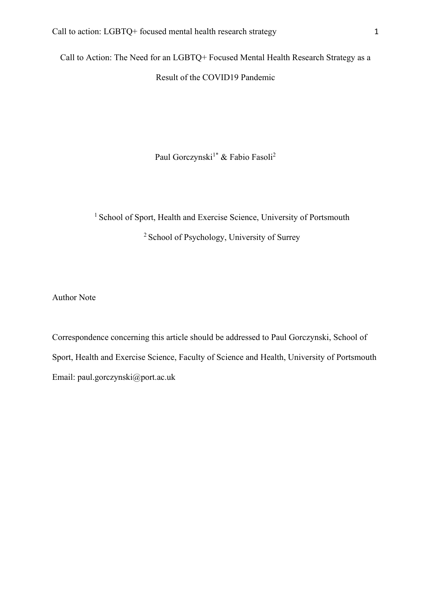Call to Action: The Need for an LGBTQ+ Focused Mental Health Research Strategy as a Result of the COVID19 Pandemic

Paul Gorczynski<sup>1\*</sup> & Fabio Fasoli<sup>2</sup>

<sup>1</sup> School of Sport, Health and Exercise Science, University of Portsmouth 2 School of Psychology, University of Surrey

Author Note

Correspondence concerning this article should be addressed to Paul Gorczynski, School of Sport, Health and Exercise Science, Faculty of Science and Health, University of Portsmouth Email: paul.gorczynski@port.ac.uk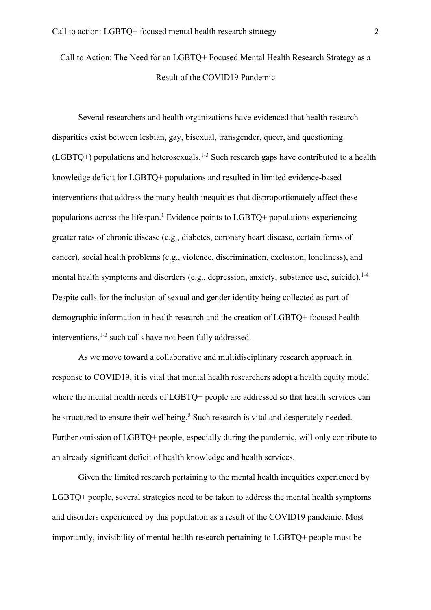Call to Action: The Need for an LGBTQ+ Focused Mental Health Research Strategy as a Result of the COVID19 Pandemic

Several researchers and health organizations have evidenced that health research disparities exist between lesbian, gay, bisexual, transgender, queer, and questioning  $(LGBTQ+)$  populations and heterosexuals.<sup>1-3</sup> Such research gaps have contributed to a health knowledge deficit for LGBTQ+ populations and resulted in limited evidence-based interventions that address the many health inequities that disproportionately affect these populations across the lifespan. <sup>1</sup> Evidence points to LGBTQ+ populations experiencing greater rates of chronic disease (e.g., diabetes, coronary heart disease, certain forms of cancer), social health problems (e.g., violence, discrimination, exclusion, loneliness), and mental health symptoms and disorders (e.g., depression, anxiety, substance use, suicide).<sup>1-4</sup> Despite calls for the inclusion of sexual and gender identity being collected as part of demographic information in health research and the creation of LGBTQ+ focused health interventions,<sup>1-3</sup> such calls have not been fully addressed.

As we move toward a collaborative and multidisciplinary research approach in response to COVID19, it is vital that mental health researchers adopt a health equity model where the mental health needs of LGBTQ+ people are addressed so that health services can be structured to ensure their wellbeing.<sup>5</sup> Such research is vital and desperately needed. Further omission of LGBTQ+ people, especially during the pandemic, will only contribute to an already significant deficit of health knowledge and health services.

Given the limited research pertaining to the mental health inequities experienced by LGBTQ+ people, several strategies need to be taken to address the mental health symptoms and disorders experienced by this population as a result of the COVID19 pandemic. Most importantly, invisibility of mental health research pertaining to LGBTQ+ people must be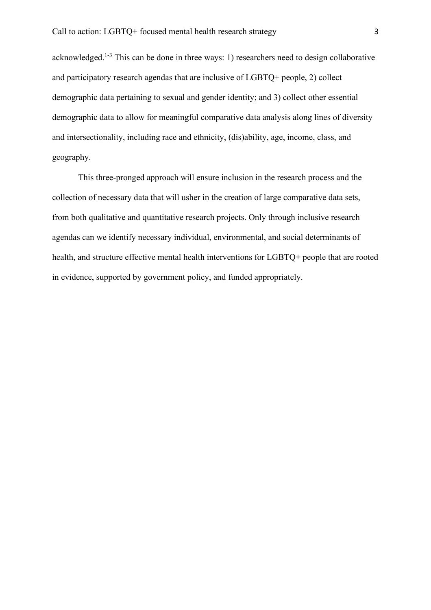acknowledged.<sup>1-3</sup> This can be done in three ways: 1) researchers need to design collaborative and participatory research agendas that are inclusive of LGBTQ+ people, 2) collect demographic data pertaining to sexual and gender identity; and 3) collect other essential demographic data to allow for meaningful comparative data analysis along lines of diversity and intersectionality, including race and ethnicity, (dis)ability, age, income, class, and geography.

This three-pronged approach will ensure inclusion in the research process and the collection of necessary data that will usher in the creation of large comparative data sets, from both qualitative and quantitative research projects. Only through inclusive research agendas can we identify necessary individual, environmental, and social determinants of health, and structure effective mental health interventions for LGBTQ+ people that are rooted in evidence, supported by government policy, and funded appropriately.